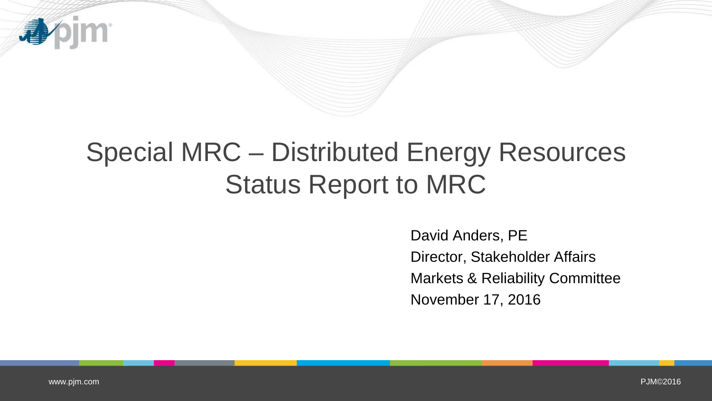

## Special MRC – Distributed Energy Resources Status Report to MRC

David Anders, PE Director, Stakeholder Affairs Markets & Reliability Committee November 17, 2016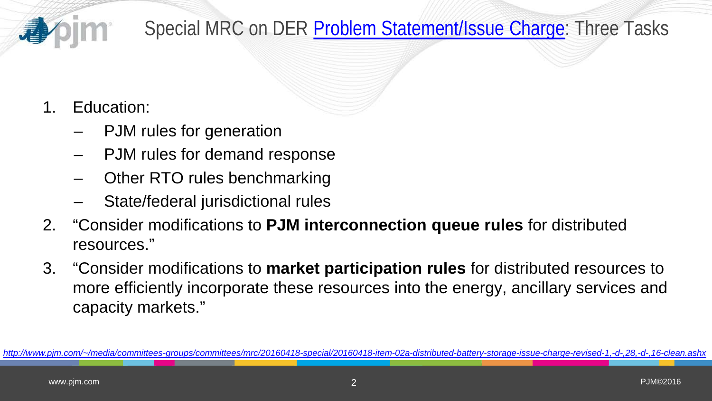

Special MRC on DER [Problem Statement/Issue Charge:](http://www.pjm.com/%7E/media/committees-groups/committees/mrc/20160418-special/20160418-item-02a-distributed-battery-storage-issue-charge-revised-1,-d-,28,-d-,16-clean.ashx) Three Tasks

## 1. Education:

- PJM rules for generation
- PJM rules for demand response
- Other RTO rules benchmarking
- State/federal jurisdictional rules
- 2. "Consider modifications to **PJM interconnection queue rules** for distributed resources."
- 3. "Consider modifications to **market participation rules** for distributed resources to more efficiently incorporate these resources into the energy, ancillary services and capacity markets."

*[http://www.pjm.com/~/media/committees-groups/committees/mrc/20160418-special/20160418-item-02a-distributed-battery-storage-issue-charge-revised-1,-d-,28,-d-,16-clean.ashx](http://www.pjm.com/%7E/media/committees-groups/committees/mrc/20160418-special/20160418-item-02a-distributed-battery-storage-issue-charge-revised-1,-d-,28,-d-,16-clean.ashx)*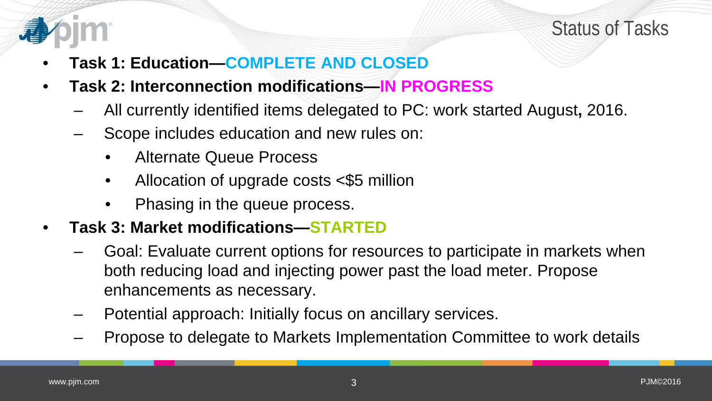



- **Task 1: Education—COMPLETE AND CLOSED**
- **Task 2: Interconnection modifications—IN PROGRESS**
	- All currently identified items delegated to PC: work started August**,** 2016.
	- Scope includes education and new rules on:
		- Alternate Queue Process
		- Allocation of upgrade costs <\$5 million
		- Phasing in the queue process.
- **Task 3: Market modifications—STARTED**
	- Goal: Evaluate current options for resources to participate in markets when both reducing load and injecting power past the load meter. Propose enhancements as necessary.
	- Potential approach: Initially focus on ancillary services.
	- Propose to delegate to Markets Implementation Committee to work details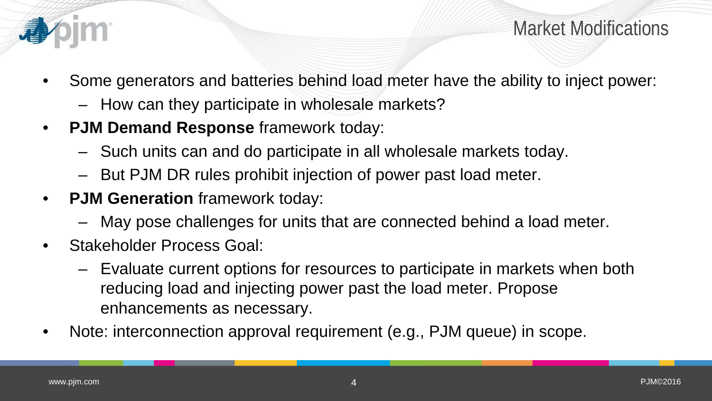

Market Modifications

- Some generators and batteries behind load meter have the ability to inject power:
	- How can they participate in wholesale markets?
- **PJM Demand Response** framework today:
	- Such units can and do participate in all wholesale markets today.
	- But PJM DR rules prohibit injection of power past load meter.
- **PJM Generation** framework today:
	- May pose challenges for units that are connected behind a load meter.
- Stakeholder Process Goal:
	- Evaluate current options for resources to participate in markets when both reducing load and injecting power past the load meter. Propose enhancements as necessary.
- Note: interconnection approval requirement (e.g., PJM queue) in scope.